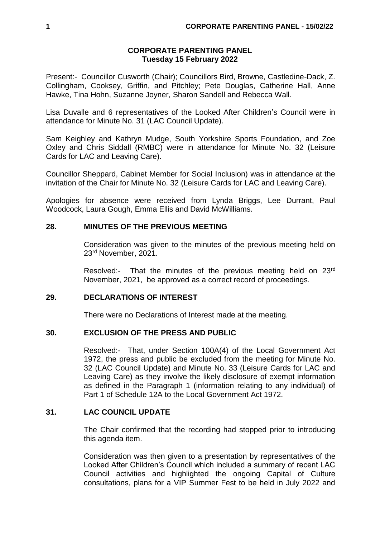#### **CORPORATE PARENTING PANEL Tuesday 15 February 2022**

Present:- Councillor Cusworth (Chair); Councillors Bird, Browne, Castledine-Dack, Z. Collingham, Cooksey, Griffin, and Pitchley; Pete Douglas, Catherine Hall, Anne Hawke, Tina Hohn, Suzanne Joyner, Sharon Sandell and Rebecca Wall.

Lisa Duvalle and 6 representatives of the Looked After Children's Council were in attendance for Minute No. 31 (LAC Council Update).

Sam Keighley and Kathryn Mudge, South Yorkshire Sports Foundation, and Zoe Oxley and Chris Siddall (RMBC) were in attendance for Minute No. 32 (Leisure Cards for LAC and Leaving Care).

Councillor Sheppard, Cabinet Member for Social Inclusion) was in attendance at the invitation of the Chair for Minute No. 32 (Leisure Cards for LAC and Leaving Care).

Apologies for absence were received from Lynda Briggs, Lee Durrant, Paul Woodcock, Laura Gough, Emma Ellis and David McWilliams.

### **28. MINUTES OF THE PREVIOUS MEETING**

Consideration was given to the minutes of the previous meeting held on 23rd November, 2021.

Resolved:- That the minutes of the previous meeting held on 23rd November, 2021, be approved as a correct record of proceedings.

### **29. DECLARATIONS OF INTEREST**

There were no Declarations of Interest made at the meeting.

#### **30. EXCLUSION OF THE PRESS AND PUBLIC**

Resolved:- That, under Section 100A(4) of the Local Government Act 1972, the press and public be excluded from the meeting for Minute No. 32 (LAC Council Update) and Minute No. 33 (Leisure Cards for LAC and Leaving Care) as they involve the likely disclosure of exempt information as defined in the Paragraph 1 (information relating to any individual) of Part 1 of Schedule 12A to the Local Government Act 1972.

#### **31. LAC COUNCIL UPDATE**

The Chair confirmed that the recording had stopped prior to introducing this agenda item.

Consideration was then given to a presentation by representatives of the Looked After Children's Council which included a summary of recent LAC Council activities and highlighted the ongoing Capital of Culture consultations, plans for a VIP Summer Fest to be held in July 2022 and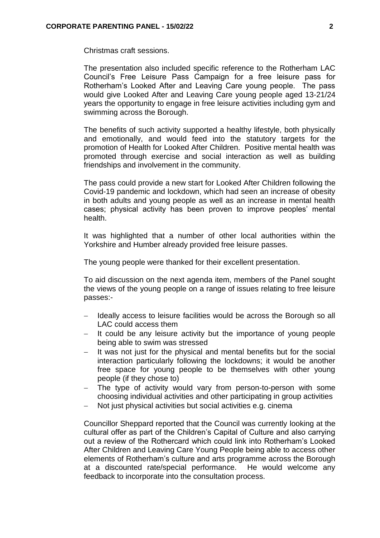Christmas craft sessions.

The presentation also included specific reference to the Rotherham LAC Council's Free Leisure Pass Campaign for a free leisure pass for Rotherham's Looked After and Leaving Care young people. The pass would give Looked After and Leaving Care young people aged 13-21/24 years the opportunity to engage in free leisure activities including gym and swimming across the Borough.

The benefits of such activity supported a healthy lifestyle, both physically and emotionally, and would feed into the statutory targets for the promotion of Health for Looked After Children. Positive mental health was promoted through exercise and social interaction as well as building friendships and involvement in the community.

The pass could provide a new start for Looked After Children following the Covid-19 pandemic and lockdown, which had seen an increase of obesity in both adults and young people as well as an increase in mental health cases; physical activity has been proven to improve peoples' mental health.

It was highlighted that a number of other local authorities within the Yorkshire and Humber already provided free leisure passes.

The young people were thanked for their excellent presentation.

To aid discussion on the next agenda item, members of the Panel sought the views of the young people on a range of issues relating to free leisure passes:-

- Ideally access to leisure facilities would be across the Borough so all LAC could access them
- It could be any leisure activity but the importance of young people being able to swim was stressed
- It was not just for the physical and mental benefits but for the social interaction particularly following the lockdowns; it would be another free space for young people to be themselves with other young people (if they chose to)
- The type of activity would vary from person-to-person with some choosing individual activities and other participating in group activities
- Not just physical activities but social activities e.g. cinema

Councillor Sheppard reported that the Council was currently looking at the cultural offer as part of the Children's Capital of Culture and also carrying out a review of the Rothercard which could link into Rotherham's Looked After Children and Leaving Care Young People being able to access other elements of Rotherham's culture and arts programme across the Borough at a discounted rate/special performance. He would welcome any feedback to incorporate into the consultation process.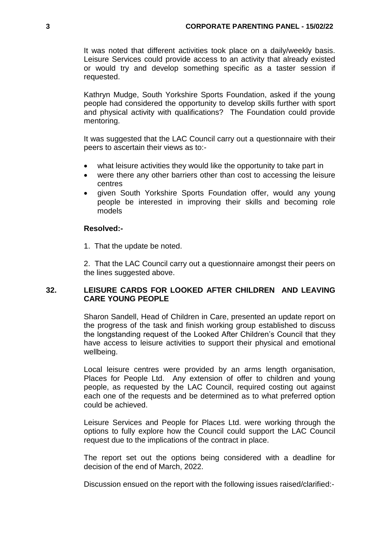It was noted that different activities took place on a daily/weekly basis. Leisure Services could provide access to an activity that already existed or would try and develop something specific as a taster session if requested.

Kathryn Mudge, South Yorkshire Sports Foundation, asked if the young people had considered the opportunity to develop skills further with sport and physical activity with qualifications? The Foundation could provide mentoring.

It was suggested that the LAC Council carry out a questionnaire with their peers to ascertain their views as to:-

- what leisure activities they would like the opportunity to take part in
- were there any other barriers other than cost to accessing the leisure centres
- given South Yorkshire Sports Foundation offer, would any young people be interested in improving their skills and becoming role models

### **Resolved:-**

1. That the update be noted.

2. That the LAC Council carry out a questionnaire amongst their peers on the lines suggested above.

# **32. LEISURE CARDS FOR LOOKED AFTER CHILDREN AND LEAVING CARE YOUNG PEOPLE**

Sharon Sandell, Head of Children in Care, presented an update report on the progress of the task and finish working group established to discuss the longstanding request of the Looked After Children's Council that they have access to leisure activities to support their physical and emotional wellbeing.

Local leisure centres were provided by an arms length organisation, Places for People Ltd. Any extension of offer to children and young people, as requested by the LAC Council, required costing out against each one of the requests and be determined as to what preferred option could be achieved.

Leisure Services and People for Places Ltd. were working through the options to fully explore how the Council could support the LAC Council request due to the implications of the contract in place.

The report set out the options being considered with a deadline for decision of the end of March, 2022.

Discussion ensued on the report with the following issues raised/clarified:-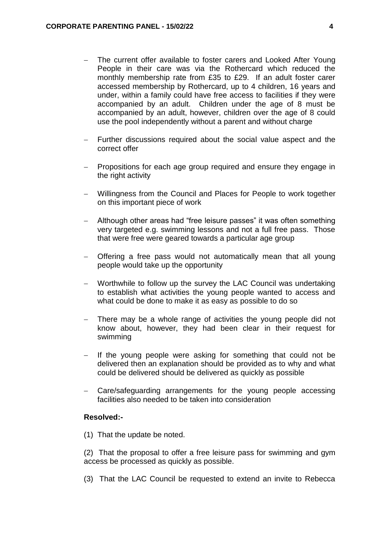- The current offer available to foster carers and Looked After Young People in their care was via the Rothercard which reduced the monthly membership rate from £35 to £29. If an adult foster carer accessed membership by Rothercard, up to 4 children, 16 years and under, within a family could have free access to facilities if they were accompanied by an adult. Children under the age of 8 must be accompanied by an adult, however, children over the age of 8 could use the pool independently without a parent and without charge
- Further discussions required about the social value aspect and the correct offer
- Propositions for each age group required and ensure they engage in the right activity
- Willingness from the Council and Places for People to work together on this important piece of work
- Although other areas had "free leisure passes" it was often something very targeted e.g. swimming lessons and not a full free pass. Those that were free were geared towards a particular age group
- Offering a free pass would not automatically mean that all young people would take up the opportunity
- Worthwhile to follow up the survey the LAC Council was undertaking to establish what activities the young people wanted to access and what could be done to make it as easy as possible to do so
- There may be a whole range of activities the young people did not know about, however, they had been clear in their request for swimming
- If the young people were asking for something that could not be delivered then an explanation should be provided as to why and what could be delivered should be delivered as quickly as possible
- Care/safeguarding arrangements for the young people accessing facilities also needed to be taken into consideration

# **Resolved:-**

(1) That the update be noted.

(2) That the proposal to offer a free leisure pass for swimming and gym access be processed as quickly as possible.

(3) That the LAC Council be requested to extend an invite to Rebecca